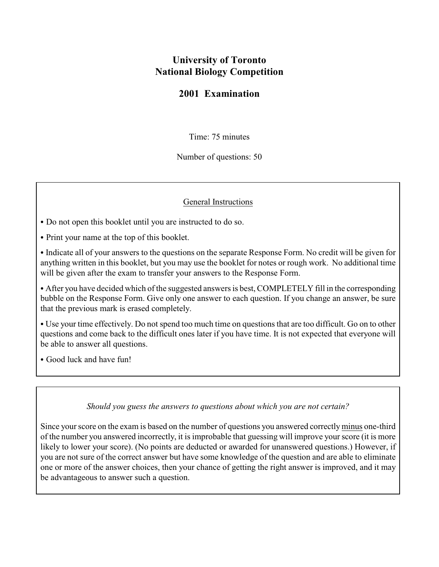# **University of Toronto National Biology Competition**

## **2001 Examination**

Time: 75 minutes

Number of questions: 50

### General Instructions

• Do not open this booklet until you are instructed to do so.

• Print your name at the top of this booklet.

• Indicate all of your answers to the questions on the separate Response Form. No credit will be given for anything written in this booklet, but you may use the booklet for notes or rough work. No additional time will be given after the exam to transfer your answers to the Response Form.

• After you have decided which of the suggested answers is best, COMPLETELY fill in the corresponding bubble on the Response Form. Give only one answer to each question. If you change an answer, be sure that the previous mark is erased completely.

• Use your time effectively. Do not spend too much time on questions that are too difficult. Go on to other questions and come back to the difficult ones later if you have time. It is not expected that everyone will be able to answer all questions.

• Good luck and have fun!

#### *Should you guess the answers to questions about which you are not certain?*

Since your score on the exam is based on the number of questions you answered correctly minus one-third of the number you answered incorrectly, it is improbable that guessing will improve your score (it is more likely to lower your score). (No points are deducted or awarded for unanswered questions.) However, if you are not sure of the correct answer but have some knowledge of the question and are able to eliminate one or more of the answer choices, then your chance of getting the right answer is improved, and it may be advantageous to answer such a question.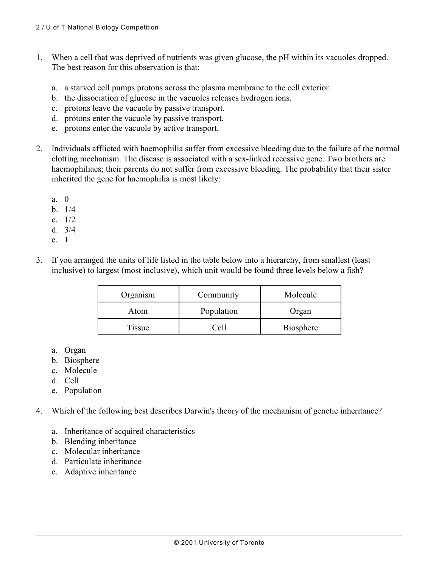- 1. When a cell that was deprived of nutrients was given glucose, the pH within its vacuoles dropped. The best reason for this observation is that:
	- a. a starved cell pumps protons across the plasma membrane to the cell exterior.
	- b. the dissociation of glucose in the vacuoles releases hydrogen ions.
	- c. protons leave the vacuole by passive transport.
	- d. protons enter the vacuole by passive transport.
	- e. protons enter the vacuole by active transport.
- 2. Individuals afflicted with haemophilia suffer from excessive bleeding due to the failure of the normal clotting mechanism. The disease is associated with a sex-linked recessive gene. Two brothers are haemophiliacs; their parents do not suffer from excessive bleeding. The probability that their sister inherited the gene for haemophilia is most likely:
	- a. 0
	- b. 1/4
	- c. 1/2
	- d. 3/4
	- e. 1
- 3. If you arranged the units of life listed in the table below into a hierarchy, from smallest (least inclusive) to largest (most inclusive), which unit would be found three levels below a fish?

| Organism | Community  | Molecule         |
|----------|------------|------------------|
| Atom     | Population | Organ            |
| Tissue   | ∵ell       | <b>Biosphere</b> |

- a. Organ
- b. Biosphere
- c. Molecule
- d. Cell
- e. Population
- 4. Which of the following best describes Darwin's theory of the mechanism of genetic inheritance?
	- a. Inheritance of acquired characteristics
	- b. Blending inheritance
	- c. Molecular inheritance
	- d. Particulate inheritance
	- e. Adaptive inheritance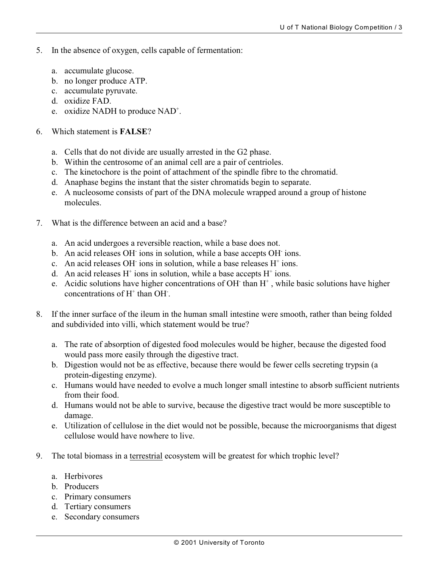- 5. In the absence of oxygen, cells capable of fermentation:
	- a. accumulate glucose.
	- b. no longer produce ATP.
	- c. accumulate pyruvate.
	- d. oxidize FAD.
	- e. oxidize NADH to produce  $NAD^+$ .

#### 6. Which statement is **FALSE**?

- a. Cells that do not divide are usually arrested in the G2 phase.
- b. Within the centrosome of an animal cell are a pair of centrioles.
- c. The kinetochore is the point of attachment of the spindle fibre to the chromatid.
- d. Anaphase begins the instant that the sister chromatids begin to separate.
- e. A nucleosome consists of part of the DNA molecule wrapped around a group of histone molecules.
- 7. What is the difference between an acid and a base?
	- a. An acid undergoes a reversible reaction, while a base does not.
	- b. An acid releases OH ions in solution, while a base accepts OH ions.
	- c. An acid releases OH ions in solution, while a base releases  $H^+$  ions.
	- d. An acid releases  $H^+$  ions in solution, while a base accepts  $H^+$  ions.
	- e. Acidic solutions have higher concentrations of OH than  $H^+$ , while basic solutions have higher concentrations of  $H^+$  than OH.
- 8. If the inner surface of the ileum in the human small intestine were smooth, rather than being folded and subdivided into villi, which statement would be true?
	- a. The rate of absorption of digested food molecules would be higher, because the digested food would pass more easily through the digestive tract.
	- b. Digestion would not be as effective, because there would be fewer cells secreting trypsin (a protein-digesting enzyme).
	- c. Humans would have needed to evolve a much longer small intestine to absorb sufficient nutrients from their food.
	- d. Humans would not be able to survive, because the digestive tract would be more susceptible to damage.
	- e. Utilization of cellulose in the diet would not be possible, because the microorganisms that digest cellulose would have nowhere to live.
- 9. The total biomass in a terrestrial ecosystem will be greatest for which trophic level?
	- a. Herbivores
	- b. Producers
	- c. Primary consumers
	- d. Tertiary consumers
	- e. Secondary consumers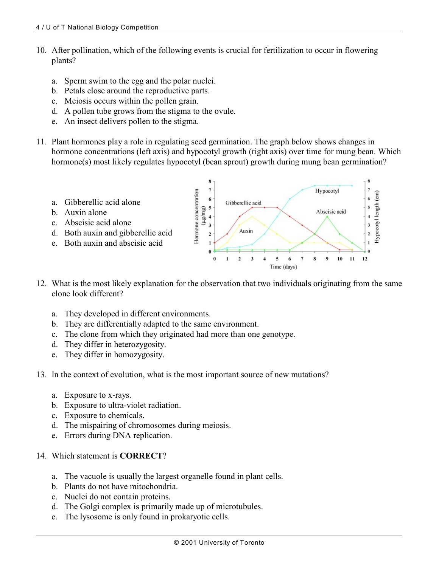- 10. After pollination, which of the following events is crucial for fertilization to occur in flowering plants?
	- a. Sperm swim to the egg and the polar nuclei.
	- b. Petals close around the reproductive parts.
	- c. Meiosis occurs within the pollen grain.
	- d. A pollen tube grows from the stigma to the ovule.
	- e. An insect delivers pollen to the stigma.
- 11. Plant hormones play a role in regulating seed germination. The graph below shows changes in hormone concentrations (left axis) and hypocotyl growth (right axis) over time for mung bean. Which hormone(s) most likely regulates hypocotyl (bean sprout) growth during mung bean germination?



- 12. What is the most likely explanation for the observation that two individuals originating from the same clone look different?
	- a. They developed in different environments.
	- b. They are differentially adapted to the same environment.
	- c. The clone from which they originated had more than one genotype.
	- d. They differ in heterozygosity.
	- e. They differ in homozygosity.
- 13. In the context of evolution, what is the most important source of new mutations?
	- a. Exposure to x-rays.
	- b. Exposure to ultra-violet radiation.
	- c. Exposure to chemicals.
	- d. The mispairing of chromosomes during meiosis.
	- e. Errors during DNA replication.
- 14. Which statement is **CORRECT**?
	- a. The vacuole is usually the largest organelle found in plant cells.
	- b. Plants do not have mitochondria.
	- c. Nuclei do not contain proteins.
	- d. The Golgi complex is primarily made up of microtubules.
	- e. The lysosome is only found in prokaryotic cells.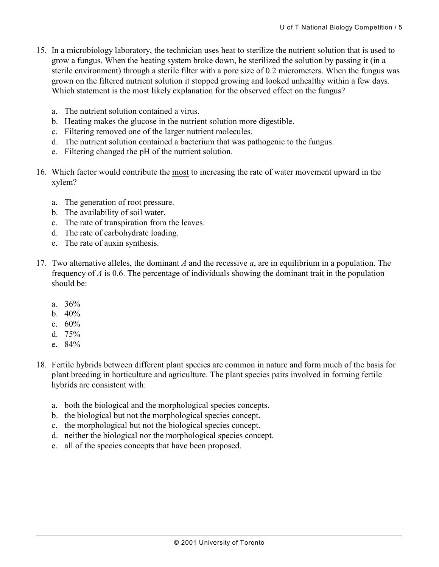- 15. In a microbiology laboratory, the technician uses heat to sterilize the nutrient solution that is used to grow a fungus. When the heating system broke down, he sterilized the solution by passing it (in a sterile environment) through a sterile filter with a pore size of 0.2 micrometers. When the fungus was grown on the filtered nutrient solution it stopped growing and looked unhealthy within a few days. Which statement is the most likely explanation for the observed effect on the fungus?
	- a. The nutrient solution contained a virus.
	- b. Heating makes the glucose in the nutrient solution more digestible.
	- c. Filtering removed one of the larger nutrient molecules.
	- d. The nutrient solution contained a bacterium that was pathogenic to the fungus.
	- e. Filtering changed the pH of the nutrient solution.
- 16. Which factor would contribute the most to increasing the rate of water movement upward in the xylem?
	- a. The generation of root pressure.
	- b. The availability of soil water.
	- c. The rate of transpiration from the leaves.
	- d. The rate of carbohydrate loading.
	- e. The rate of auxin synthesis.
- 17. Two alternative alleles, the dominant *A* and the recessive *a*, are in equilibrium in a population. The frequency of *A* is 0.6. The percentage of individuals showing the dominant trait in the population should be:
	- a. 36%
	- b. 40%
	- c. 60%
	- d. 75%
	- e. 84%
- 18. Fertile hybrids between different plant species are common in nature and form much of the basis for plant breeding in horticulture and agriculture. The plant species pairs involved in forming fertile hybrids are consistent with:
	- a. both the biological and the morphological species concepts.
	- b. the biological but not the morphological species concept.
	- c. the morphological but not the biological species concept.
	- d. neither the biological nor the morphological species concept.
	- e. all of the species concepts that have been proposed.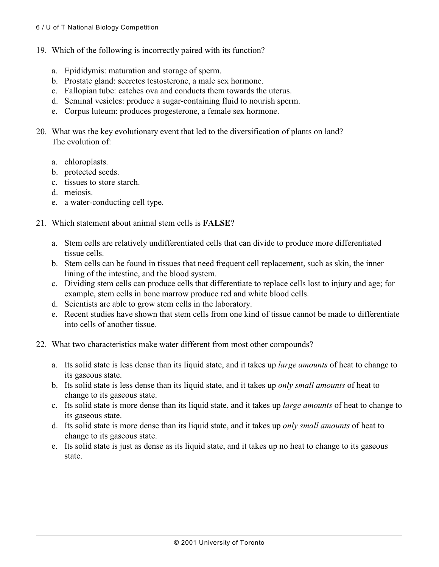- 19. Which of the following is incorrectly paired with its function?
	- a. Epididymis: maturation and storage of sperm.
	- b. Prostate gland: secretes testosterone, a male sex hormone.
	- c. Fallopian tube: catches ova and conducts them towards the uterus.
	- d. Seminal vesicles: produce a sugar-containing fluid to nourish sperm.
	- e. Corpus luteum: produces progesterone, a female sex hormone.
- 20. What was the key evolutionary event that led to the diversification of plants on land? The evolution of:
	- a. chloroplasts.
	- b. protected seeds.
	- c. tissues to store starch.
	- d. meiosis.
	- e. a water-conducting cell type.
- 21. Which statement about animal stem cells is **FALSE**?
	- a. Stem cells are relatively undifferentiated cells that can divide to produce more differentiated tissue cells.
	- b. Stem cells can be found in tissues that need frequent cell replacement, such as skin, the inner lining of the intestine, and the blood system.
	- c. Dividing stem cells can produce cells that differentiate to replace cells lost to injury and age; for example, stem cells in bone marrow produce red and white blood cells.
	- d. Scientists are able to grow stem cells in the laboratory.
	- e. Recent studies have shown that stem cells from one kind of tissue cannot be made to differentiate into cells of another tissue.
- 22. What two characteristics make water different from most other compounds?
	- a. Its solid state is less dense than its liquid state, and it takes up *large amounts* of heat to change to its gaseous state.
	- b. Its solid state is less dense than its liquid state, and it takes up *only small amounts* of heat to change to its gaseous state.
	- c. Its solid state is more dense than its liquid state, and it takes up *large amounts* of heat to change to its gaseous state.
	- d. Its solid state is more dense than its liquid state, and it takes up *only small amounts* of heat to change to its gaseous state.
	- e. Its solid state is just as dense as its liquid state, and it takes up no heat to change to its gaseous state.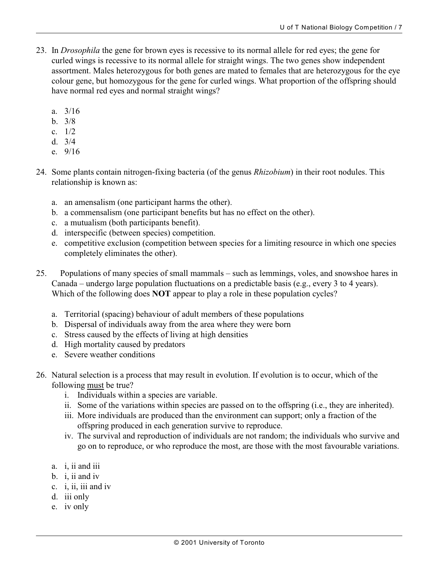- 23. In *Drosophila* the gene for brown eyes is recessive to its normal allele for red eyes; the gene for curled wings is recessive to its normal allele for straight wings. The two genes show independent assortment. Males heterozygous for both genes are mated to females that are heterozygous for the eye colour gene, but homozygous for the gene for curled wings. What proportion of the offspring should have normal red eyes and normal straight wings?
	- a. 3/16
	- b. 3/8
	- c. 1/2
	- d. 3/4
	- e. 9/16
- 24. Some plants contain nitrogen-fixing bacteria (of the genus *Rhizobium*) in their root nodules. This relationship is known as:
	- a. an amensalism (one participant harms the other).
	- b. a commensalism (one participant benefits but has no effect on the other).
	- c. a mutualism (both participants benefit).
	- d. interspecific (between species) competition.
	- e. competitive exclusion (competition between species for a limiting resource in which one species completely eliminates the other).
- 25. Populations of many species of small mammals such as lemmings, voles, and snowshoe hares in Canada – undergo large population fluctuations on a predictable basis (e.g., every 3 to 4 years). Which of the following does **NOT** appear to play a role in these population cycles?
	- a. Territorial (spacing) behaviour of adult members of these populations
	- b. Dispersal of individuals away from the area where they were born
	- c. Stress caused by the effects of living at high densities
	- d. High mortality caused by predators
	- e. Severe weather conditions
- 26. Natural selection is a process that may result in evolution. If evolution is to occur, which of the following must be true?
	- i. Individuals within a species are variable.
	- ii. Some of the variations within species are passed on to the offspring (i.e., they are inherited).
	- iii. More individuals are produced than the environment can support; only a fraction of the offspring produced in each generation survive to reproduce.
	- iv. The survival and reproduction of individuals are not random; the individuals who survive and go on to reproduce, or who reproduce the most, are those with the most favourable variations.
	- a. i, ii and iii
	- b. i, ii and iv
	- c. i, ii, iii and iv
	- d. iii only
	- e. iv only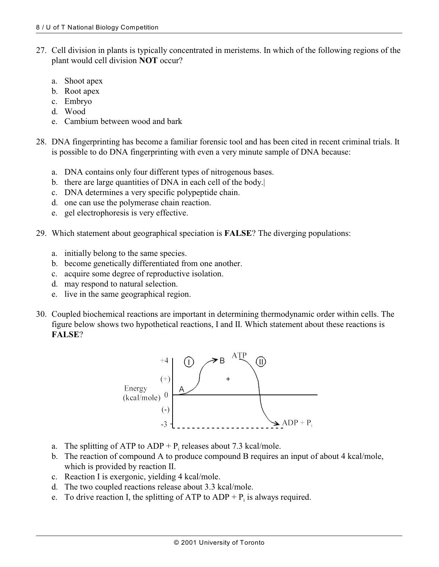- 27. Cell division in plants is typically concentrated in meristems. In which of the following regions of the plant would cell division **NOT** occur?
	- a. Shoot apex
	- b. Root apex
	- c. Embryo
	- d. Wood
	- e. Cambium between wood and bark
- 28. DNA fingerprinting has become a familiar forensic tool and has been cited in recent criminal trials. It is possible to do DNA fingerprinting with even a very minute sample of DNA because:
	- a. DNA contains only four different types of nitrogenous bases.
	- b. there are large quantities of DNA in each cell of the body.|
	- c. DNA determines a very specific polypeptide chain.
	- d. one can use the polymerase chain reaction.
	- e. gel electrophoresis is very effective.
- 29. Which statement about geographical speciation is **FALSE**? The diverging populations:
	- a. initially belong to the same species.
	- b. become genetically differentiated from one another.
	- c. acquire some degree of reproductive isolation.
	- d. may respond to natural selection.
	- e. live in the same geographical region.
- 30. Coupled biochemical reactions are important in determining thermodynamic order within cells. The figure below shows two hypothetical reactions, I and II. Which statement about these reactions is **FALSE**?



- a. The splitting of ATP to  $ADP + P_i$  releases about 7.3 kcal/mole.
- b. The reaction of compound A to produce compound B requires an input of about 4 kcal/mole, which is provided by reaction II.
- c. Reaction I is exergonic, yielding 4 kcal/mole.
- d. The two coupled reactions release about 3.3 kcal/mole.
- e. To drive reaction I, the splitting of ATP to  $ADP + P_i$  is always required.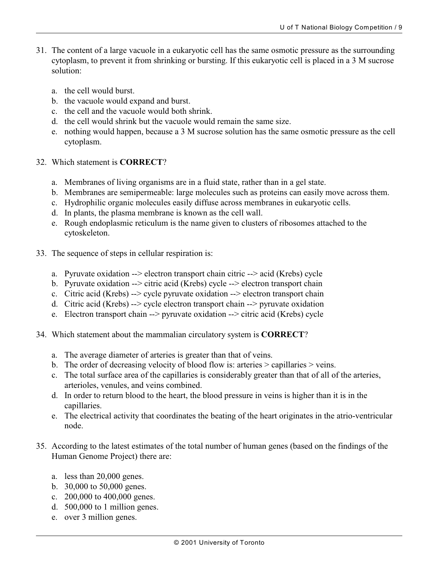- 31. The content of a large vacuole in a eukaryotic cell has the same osmotic pressure as the surrounding cytoplasm, to prevent it from shrinking or bursting. If this eukaryotic cell is placed in a 3 M sucrose solution:
	- a. the cell would burst.
	- b. the vacuole would expand and burst.
	- c. the cell and the vacuole would both shrink.
	- d. the cell would shrink but the vacuole would remain the same size.
	- e. nothing would happen, because a 3 M sucrose solution has the same osmotic pressure as the cell cytoplasm.
- 32. Which statement is **CORRECT**?
	- a. Membranes of living organisms are in a fluid state, rather than in a gel state.
	- b. Membranes are semipermeable: large molecules such as proteins can easily move across them.
	- c. Hydrophilic organic molecules easily diffuse across membranes in eukaryotic cells.
	- d. In plants, the plasma membrane is known as the cell wall.
	- e. Rough endoplasmic reticulum is the name given to clusters of ribosomes attached to the cytoskeleton.
- 33. The sequence of steps in cellular respiration is:
	- a. Pyruvate oxidation --> electron transport chain citric --> acid (Krebs) cycle
	- b. Pyruvate oxidation --> citric acid (Krebs) cycle --> electron transport chain
	- c. Citric acid (Krebs) --> cycle pyruvate oxidation --> electron transport chain
	- d. Citric acid (Krebs) --> cycle electron transport chain --> pyruvate oxidation
	- e. Electron transport chain --> pyruvate oxidation --> citric acid (Krebs) cycle
- 34. Which statement about the mammalian circulatory system is **CORRECT**?
	- a. The average diameter of arteries is greater than that of veins.
	- b. The order of decreasing velocity of blood flow is: arteries > capillaries > veins.
	- c. The total surface area of the capillaries is considerably greater than that of all of the arteries, arterioles, venules, and veins combined.
	- d. In order to return blood to the heart, the blood pressure in veins is higher than it is in the capillaries.
	- e. The electrical activity that coordinates the beating of the heart originates in the atrio-ventricular node.
- 35. According to the latest estimates of the total number of human genes (based on the findings of the Human Genome Project) there are:
	- a. less than 20,000 genes.
	- b. 30,000 to 50,000 genes.
	- c. 200,000 to 400,000 genes.
	- d. 500,000 to 1 million genes.
	- e. over 3 million genes.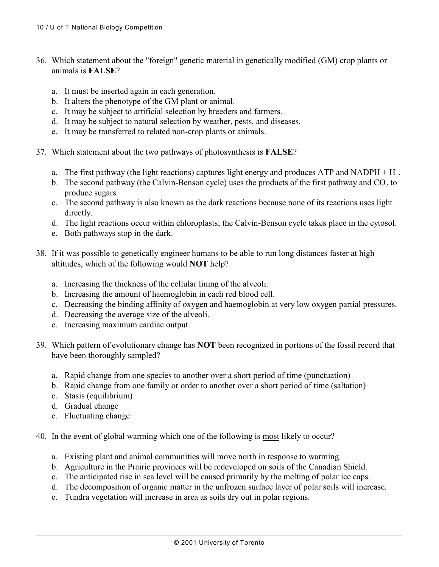- 36. Which statement about the "foreign" genetic material in genetically modified (GM) crop plants or animals is **FALSE**?
	- a. It must be inserted again in each generation.
	- b. It alters the phenotype of the GM plant or animal.
	- c. It may be subject to artificial selection by breeders and farmers.
	- d. It may be subject to natural selection by weather, pests, and diseases.
	- e. It may be transferred to related non-crop plants or animals.
- 37. Which statement about the two pathways of photosynthesis is **FALSE**?
	- a. The first pathway (the light reactions) captures light energy and produces ATP and NADPH  $+ H^+$ .
	- b. The second pathway (the Calvin-Benson cycle) uses the products of the first pathway and  $CO_2$  to produce sugars.
	- c. The second pathway is also known as the dark reactions because none of its reactions uses light directly.
	- d. The light reactions occur within chloroplasts; the Calvin-Benson cycle takes place in the cytosol.
	- e. Both pathways stop in the dark.
- 38. If it was possible to genetically engineer humans to be able to run long distances faster at high altitudes, which of the following would **NOT** help?
	- a. Increasing the thickness of the cellular lining of the alveoli.
	- b. Increasing the amount of haemoglobin in each red blood cell.
	- c. Decreasing the binding affinity of oxygen and haemoglobin at very low oxygen partial pressures.
	- d. Decreasing the average size of the alveoli.
	- e. Increasing maximum cardiac output.
- 39. Which pattern of evolutionary change has **NOT** been recognized in portions of the fossil record that have been thoroughly sampled?
	- a. Rapid change from one species to another over a short period of time (punctuation)
	- b. Rapid change from one family or order to another over a short period of time (saltation)
	- c. Stasis (equilibrium)
	- d. Gradual change
	- e. Fluctuating change
- 40. In the event of global warming which one of the following is most likely to occur?
	- a. Existing plant and animal communities will move north in response to warming.
	- b. Agriculture in the Prairie provinces will be redeveloped on soils of the Canadian Shield.
	- c. The anticipated rise in sea level will be caused primarily by the melting of polar ice caps.
	- d. The decomposition of organic matter in the unfrozen surface layer of polar soils will increase.
	- e. Tundra vegetation will increase in area as soils dry out in polar regions.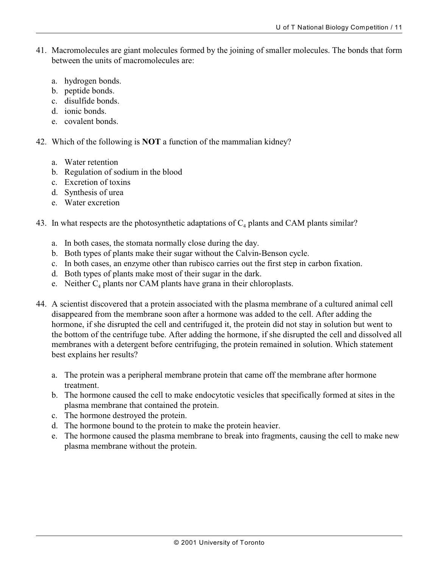- 41. Macromolecules are giant molecules formed by the joining of smaller molecules. The bonds that form between the units of macromolecules are:
	- a. hydrogen bonds.
	- b. peptide bonds.
	- c. disulfide bonds.
	- d. ionic bonds.
	- e. covalent bonds.
- 42. Which of the following is **NOT** a function of the mammalian kidney?
	- a. Water retention
	- b. Regulation of sodium in the blood
	- c. Excretion of toxins
	- d. Synthesis of urea
	- e. Water excretion
- 43. In what respects are the photosynthetic adaptations of  $C_4$  plants and CAM plants similar?
	- a. In both cases, the stomata normally close during the day.
	- b. Both types of plants make their sugar without the Calvin-Benson cycle.
	- c. In both cases, an enzyme other than rubisco carries out the first step in carbon fixation.
	- d. Both types of plants make most of their sugar in the dark.
	- e. Neither  $C_4$  plants nor CAM plants have grana in their chloroplasts.
- 44. A scientist discovered that a protein associated with the plasma membrane of a cultured animal cell disappeared from the membrane soon after a hormone was added to the cell. After adding the hormone, if she disrupted the cell and centrifuged it, the protein did not stay in solution but went to the bottom of the centrifuge tube. After adding the hormone, if she disrupted the cell and dissolved all membranes with a detergent before centrifuging, the protein remained in solution. Which statement best explains her results?
	- a. The protein was a peripheral membrane protein that came off the membrane after hormone treatment.
	- b. The hormone caused the cell to make endocytotic vesicles that specifically formed at sites in the plasma membrane that contained the protein.
	- c. The hormone destroyed the protein.
	- d. The hormone bound to the protein to make the protein heavier.
	- e. The hormone caused the plasma membrane to break into fragments, causing the cell to make new plasma membrane without the protein.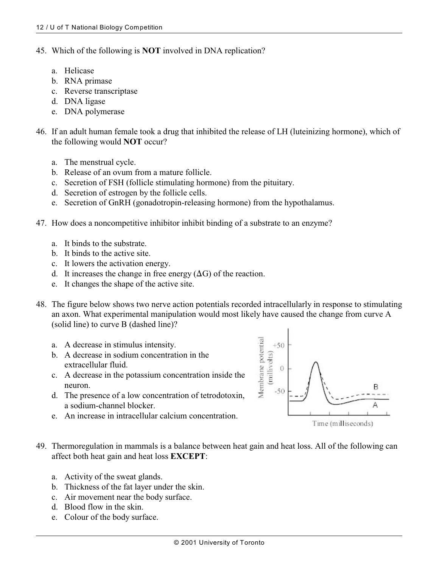- 45. Which of the following is **NOT** involved in DNA replication?
	- a. Helicase
	- b. RNA primase
	- c. Reverse transcriptase
	- d. DNA ligase
	- e. DNA polymerase
- 46. If an adult human female took a drug that inhibited the release of LH (luteinizing hormone), which of the following would **NOT** occur?
	- a. The menstrual cycle.
	- b. Release of an ovum from a mature follicle.
	- c. Secretion of FSH (follicle stimulating hormone) from the pituitary.
	- d. Secretion of estrogen by the follicle cells.
	- e. Secretion of GnRH (gonadotropin-releasing hormone) from the hypothalamus.
- 47. How does a noncompetitive inhibitor inhibit binding of a substrate to an enzyme?
	- a. It binds to the substrate.
	- b. It binds to the active site.
	- c. It lowers the activation energy.
	- d. It increases the change in free energy  $(\Delta G)$  of the reaction.
	- e. It changes the shape of the active site.
- 48. The figure below shows two nerve action potentials recorded intracellularly in response to stimulating an axon. What experimental manipulation would most likely have caused the change from curve A (solid line) to curve B (dashed line)?
	- a. A decrease in stimulus intensity.
	- b. A decrease in sodium concentration in the extracellular fluid.
	- c. A decrease in the potassium concentration inside the neuron.
	- d. The presence of a low concentration of tetrodotoxin, a sodium-channel blocker.
	- e. An increase in intracellular calcium concentration.



- 49. Thermoregulation in mammals is a balance between heat gain and heat loss. All of the following can affect both heat gain and heat loss **EXCEPT**:
	- a. Activity of the sweat glands.
	- b. Thickness of the fat layer under the skin.
	- c. Air movement near the body surface.
	- d. Blood flow in the skin.
	- e. Colour of the body surface.